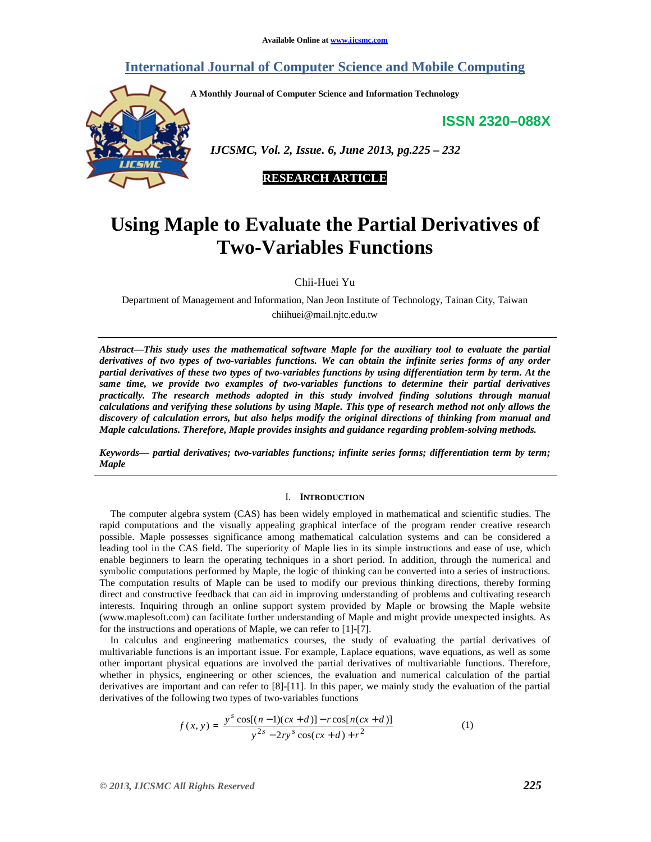### **International Journal of Computer Science and Mobile Computing**

**A Monthly Journal of Computer Science and Information Technology** 

**ISSN 2320–088X**



 *IJCSMC, Vol. 2, Issue. 6, June 2013, pg.225 – 232* 



# **Using Maple to Evaluate the Partial Derivatives of Two-Variables Functions**

Chii-Huei Yu

Department of Management and Information, Nan Jeon Institute of Technology, Tainan City, Taiwan chiihuei@mail.njtc.edu.tw

*Abstract—This study uses the mathematical software Maple for the auxiliary tool to evaluate the partial derivatives of two types of two-variables functions. We can obtain the infinite series forms of any order partial derivatives of these two types of two-variables functions by using differentiation term by term. At the same time, we provide two examples of two-variables functions to determine their partial derivatives practically. The research methods adopted in this study involved finding solutions through manual calculations and verifying these solutions by using Maple. This type of research method not only allows the discovery of calculation errors, but also helps modify the original directions of thinking from manual and Maple calculations. Therefore, Maple provides insights and guidance regarding problem-solving methods.*

*Keywords— partial derivatives; two-variables functions; infinite series forms; differentiation term by term; Maple* 

#### I. **INTRODUCTION**

The computer algebra system (CAS) has been widely employed in mathematical and scientific studies. The rapid computations and the visually appealing graphical interface of the program render creative research possible. Maple possesses significance among mathematical calculation systems and can be considered a leading tool in the CAS field. The superiority of Maple lies in its simple instructions and ease of use, which enable beginners to learn the operating techniques in a short period. In addition, through the numerical and symbolic computations performed by Maple, the logic of thinking can be converted into a series of instructions. The computation results of Maple can be used to modify our previous thinking directions, thereby forming direct and constructive feedback that can aid in improving understanding of problems and cultivating research interests. Inquiring through an online support system provided by Maple or browsing the Maple website (www.maplesoft.com) can facilitate further understanding of Maple and might provide unexpected insights. As for the instructions and operations of Maple, we can refer to [1]-[7].

In calculus and engineering mathematics courses, the study of evaluating the partial derivatives of multivariable functions is an important issue. For example, Laplace equations, wave equations, as well as some other important physical equations are involved the partial derivatives of multivariable functions. Therefore, whether in physics, engineering or other sciences, the evaluation and numerical calculation of the partial derivatives are important and can refer to [8]-[11]. In this paper, we mainly study the evaluation of the partial derivatives of the following two types of two-variables functions

$$
f(x, y) = \frac{y^s \cos[(n-1)(cx+d)] - r \cos[n(cx+d)]}{y^{2s} - 2ry^s \cos(cx+d) + r^2}
$$
 (1)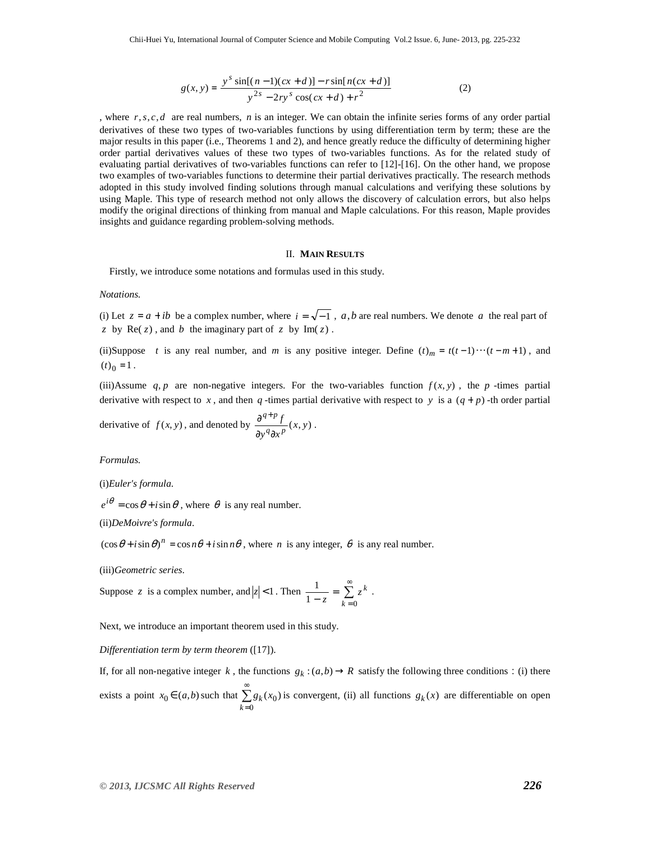$$
g(x, y) = \frac{y^{s} \sin[(n-1)(cx+d)] - r \sin[n(cx+d)]}{y^{2s} - 2ry^{s} \cos(cx+d) + r^{2}}
$$
(2)

, where *r*,*s*, *c*, *d* are real numbers, *n* is an integer. We can obtain the infinite series forms of any order partial derivatives of these two types of two-variables functions by using differentiation term by term; these are the major results in this paper (i.e., Theorems 1 and 2), and hence greatly reduce the difficulty of determining higher order partial derivatives values of these two types of two-variables functions. As for the related study of evaluating partial derivatives of two-variables functions can refer to [12]-[16]. On the other hand, we propose two examples of two-variables functions to determine their partial derivatives practically. The research methods adopted in this study involved finding solutions through manual calculations and verifying these solutions by using Maple. This type of research method not only allows the discovery of calculation errors, but also helps modify the original directions of thinking from manual and Maple calculations. For this reason, Maple provides insights and guidance regarding problem-solving methods.

#### II. **MAIN RESULTS**

Firstly, we introduce some notations and formulas used in this study.

#### *Notations.*

(i) Let  $z = a + ib$  be a complex number, where  $i = \sqrt{-1}$ , *a*,*b* are real numbers. We denote *a* the real part of *z* by  $\text{Re}(z)$ , and *b* the imaginary part of *z* by  $\text{Im}(z)$ .

(ii)Suppose *t* is any real number, and *m* is any positive integer. Define  $(t)_m = t(t-1)\cdots(t-m+1)$ , and  $(t)_0 = 1$ .

(iii)Assume  $q, p$  are non-negative integers. For the two-variables function  $f(x, y)$ , the  $p$ -times partial derivative with respect to x, and then  $q$ -times partial derivative with respect to y is a  $(q + p)$ -th order partial

derivative of 
$$
f(x, y)
$$
, and denoted by 
$$
\frac{\partial^{q+p} f}{\partial y^q \partial x^p}(x, y)
$$
.

*Formulas.* 

(i)*Euler's formula*.

 $e^{i\theta} = \cos \theta + i \sin \theta$ , where  $\theta$  is any real number.

(ii)*DeMoivre's formula*.

 $(\cos \theta + i \sin \theta)^n = \cos n\theta + i \sin n\theta$ , where *n* is any integer,  $\theta$  is any real number.

(iii)*Geometric series.* 

Suppose z is a complex number, and 
$$
|z| < 1
$$
. Then  $\frac{1}{1 - z} = \sum_{k=0}^{\infty} z^k$ .

Next, we introduce an important theorem used in this study.

*Differentiation term by term theorem* ([17]).

If, for all non-negative integer *k*, the functions  $g_k : (a,b) \to R$  satisfy the following three conditions: (i) there exists a point  $x_0 \in (a, b)$  such that  $\sum^{\infty}$  $=0$  $(x_0)$ *k*  $g_k(x_0)$  is convergent, (ii) all functions  $g_k(x)$  are differentiable on open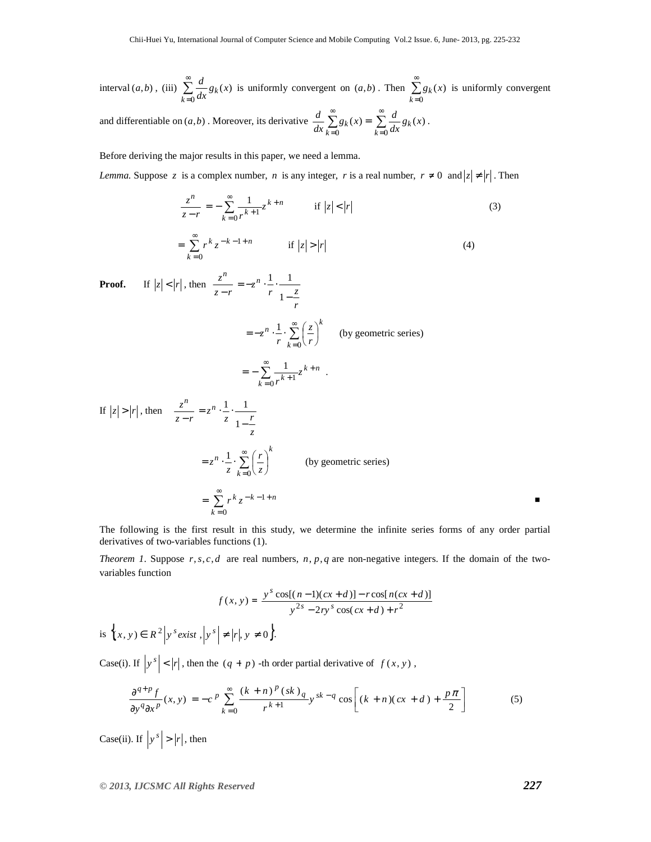interval  $(a,b)$ , (iii)  $\sum_{n=1}^{\infty}$  $=0$  $(x)$ *k*  $\frac{a}{dx} g_k(x)$  $\frac{d}{dx} g_k(x)$  is uniformly convergent on  $(a,b)$ . Then  $\sum_{n=1}^{\infty}$  $=0$  $(x)$ *k*  $g_k(x)$  is uniformly convergent

and differentiable on  $(a,b)$ . Moreover, its derivative  $\frac{d}{dx} \sum_{k=0}^{\infty} g_k(x) =$  $=0$  $(x)$ *k*  $\frac{d}{dx}\sum_{k=0}^{n}g_{k}(x)$  $\frac{d}{dx} \sum_{k=0}^{\infty} g_k(x) = \sum_{k=0}^{\infty} g_k(x)$  $=0$  $(x)$ *k*  $\frac{a}{dx} g_k(x)$  $\frac{d}{dx}g_k(x)$ .

Before deriving the major results in this paper, we need a lemma.

*Lemma.* Suppose *z* is a complex number, *n* is any integer, *r* is a real number,  $r \neq 0$  and  $|z| \neq |r|$ . Then

$$
\frac{z^n}{z - r} = -\sum_{k=0}^{\infty} \frac{1}{r^{k+1}} z^{k+n} \qquad \text{if } |z| < |r| \tag{3}
$$

$$
= \sum_{k=0}^{\infty} r^k z^{-k-1+n} \qquad \text{if } |z| > |r| \tag{4}
$$

**Proof.** If  $|z| < |r|$ , then  $\frac{z}{z-r}$ *z n* − *r*  $z^n \cdot \frac{1}{r} \cdot \frac{1}{z}$ −  $=-z^n \cdot \stackrel{\cdot}{-}\cdot$ 1 1 1  $=-z^n \cdot \frac{1}{z} \cdot \sum_{n=1}^{\infty}$ =  $\int$  $\left(\frac{z}{r}\right)$  $=-z^n \cdot \frac{1}{\sum}$  $\boldsymbol{0}$ 1 *k*  $\left| \begin{array}{c} 1 \end{array} \right| \left| \begin{array}{c} \infty \\ \sum \end{array} \right| \left| \begin{array}{c} z \end{array} \right|^{k}$ *r z*  $z^n \cdot \frac{1}{r} \cdot \sum_{k=0}^{\infty} \left( \frac{z}{r} \right)$  (by geometric series) *k n*  $\sum_{k=0}^{\infty} \frac{1}{r^{k+1}} z$ *r*  $\sum_{k=1}^{\infty} 1$   $\leq k+1$  $= - \sum_{k=0}^{\infty} \frac{1}{r^{k+1}}$  $0^{k+1}$  $\frac{1}{z^{k+n}}$ . If  $|z| > |r|$ , then  $\frac{z}{z-r}$ *z n* − *z*  $z^n \cdot \frac{1}{z} \cdot \frac{1}{r}$ −  $=z^n \cdot \stackrel{\cdot}{-}\cdot$ 1 1 1 *k k n z r*  $z^n \cdot \frac{1}{z} \cdot \sum_{k=0}^{\infty}$ =  $\int$  $\left(\frac{r}{z}\right)$  $=z^n\cdot\frac{1}{z^n}\cdot\sum_{n=1}^{\infty}$ 0  $\left( \frac{1}{2} \right)^n$  (by geometric series)  $k - 1 + n$ *k*  $\sum_{k=1}^{\infty} r^k z^{-k-1}$ =  $= \sum r^k z^{-k-1}$ 0 ■

The following is the first result in this study, we determine the infinite series forms of any order partial derivatives of two-variables functions (1).

*Theorem 1.* Suppose  $r, s, c, d$  are real numbers,  $n, p, q$  are non-negative integers. If the domain of the twovariables function

$$
f(x, y) = \frac{y^s \cos[(n-1)(cx+d)] - r \cos[n(cx+d)]}{y^{2s} - 2ry^s \cos(cx+d) + r^2}
$$
  
is 
$$
\left\{x, y\right\} \in R^2 \left| y^s \text{ exist }, \left| y^s \right| \neq \left| r \right|, y \neq 0 \right\}.
$$

Case(i). If  $|y^s| < |r|$ , then the  $(q + p)$  -th order partial derivative of  $f(x, y)$ ,

$$
\frac{\partial^{q+p} f}{\partial y^q \partial x^p}(x, y) = -c^p \sum_{k=0}^{\infty} \frac{(k+n)^p (sk)_{q}}{r^{k+1}} y^{sk-q} \cos \left[ (k+n)(cx+d) + \frac{p\pi}{2} \right] \tag{5}
$$

Case(ii). If  $|y^s| > |r|$ , then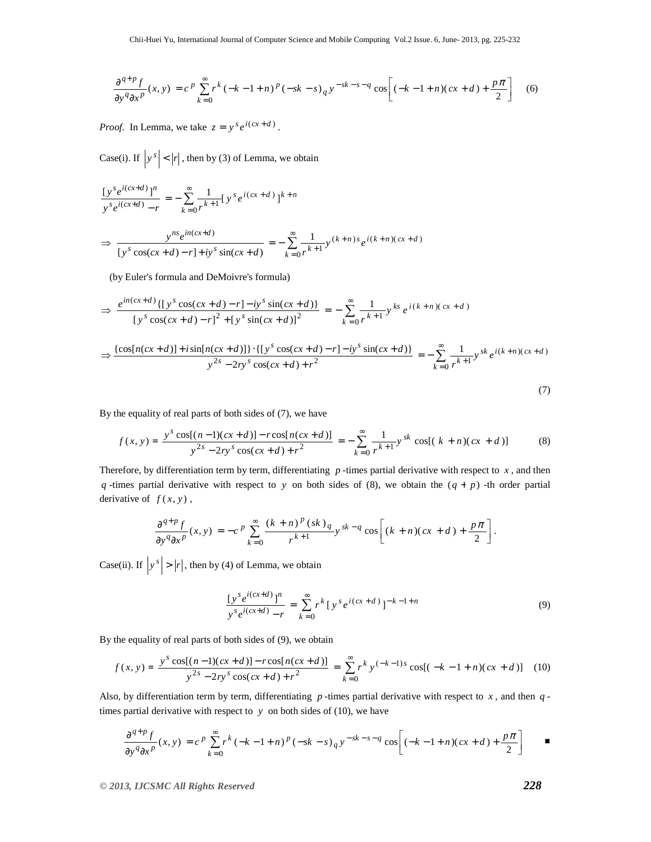$$
\frac{\partial^{q+p} f}{\partial y^q \partial x^p}(x, y) = c^p \sum_{k=0}^{\infty} r^k (-k-1+n)^p (-sk-s)_q y^{-sk-s-q} \cos \left[ (-k-1+n)(cx+d) + \frac{p\pi}{2} \right] \tag{6}
$$

*Proof.* In Lemma, we take  $z = y^s e^{i(cx+d)}$ .

Case(i). If  $|y^s| < |r|$ , then by (3) of Lemma, we obtain

$$
\frac{\left[y^{s}e^{i(cx+d)}\right]^{n}}{\left[y^{s}e^{i(cx+d)} - r\right]} = -\sum_{k=0}^{\infty} \frac{1}{r^{k+1}} \left[y^{s}e^{i(cx+d)}\right]^{k+n}
$$
\n
$$
\Rightarrow \frac{y^{ns}e^{in(cx+d)}}{\left[y^{s}\cos(cx+d) - r\right] + iy^{s}\sin(cx+d)} = -\sum_{k=0}^{\infty} \frac{1}{r^{k+1}} y^{(k+n)s}e^{i(k+n)(cx+d)}
$$

(by Euler's formula and DeMoivre's formula)

$$
\Rightarrow \frac{e^{in(cx+d)}\{[y^s\cos(cx+d)-r]-iy^s\sin(cx+d)\}}{[y^s\cos(cx+d)-r]^2+[y^s\sin(cx+d)]^2} = -\sum_{k=0}^{\infty}\frac{1}{r^{k+1}}y^{ks}e^{i(k+n)(cx+d)}
$$

$$
\Rightarrow \frac{\{\cos[n(cx+d)]+i\sin[n(cx+d)]\}\cdot\{\left[y^s\cos(cx+d)-r\right]-iy^s\sin(cx+d)\}}{y^{2s}-2ry^s\cos(cx+d)+r^2} = -\sum_{k=0}^{\infty}\frac{1}{r^{k+1}}y^{sk}e^{i(k+n)(cx+d)}
$$
\n(7)

By the equality of real parts of both sides of (7), we have

$$
f(x, y) = \frac{y^s \cos[(n-1)(cx+d)] - r \cos[n(cx+d)]}{y^{2s} - 2ry^s \cos(cx+d) + r^2} = -\sum_{k=0}^{\infty} \frac{1}{r^{k+1}} y^{sk} \cos[(k+n)(cx+d)] \tag{8}
$$

Therefore, by differentiation term by term, differentiating *p* -times partial derivative with respect to *x* , and then *q* -times partial derivative with respect to *y* on both sides of (8), we obtain the (*q* + *p*) -th order partial derivative of  $f(x, y)$ ,

$$
\frac{\partial^{q+p}f}{\partial y^q\partial x^p}(x,y)=-c^p\sum_{k=0}^\infty\frac{(k+n)^p(sk)_q}{r^{k+1}}y^{sk-q}\cos\left[(k+n)(cx+d)+\frac{p\pi}{2}\right].
$$

Case(ii). If  $|y^s| > |r|$ , then by (4) of Lemma, we obtain

$$
\frac{\left[y^{s}e^{i(cx+d)}\right]^{n}}{y^{s}e^{i(cx+d)} - r} = \sum_{k=0}^{\infty} r^{k} \left[y^{s}e^{i(cx+d)}\right]^{-k-1+n}
$$
\n(9)

By the equality of real parts of both sides of (9), we obtain

$$
f(x, y) = \frac{y^s \cos[(n-1)(cx+d)] - r \cos[n(cx+d)]}{y^{2s} - 2ry^s \cos(cx+d) + r^2} = \sum_{k=0}^{\infty} r^k y^{(-k-1)s} \cos[(-k-1+n)(cx+d)] \tag{10}
$$

Also, by differentiation term by term, differentiating  $p$ -times partial derivative with respect to  $x$ , and then  $q$ times partial derivative with respect to  $y$  on both sides of (10), we have

$$
\frac{\partial^{q+p}f}{\partial y^q\partial x^p}(x,y) = c^p \sum_{k=0}^{\infty} r^k (-k-1+n)^p (-sk-s)_{q} y^{-sk-s-q} \cos\left[(-k-1+n)(cx+d) + \frac{p\pi}{2}\right] \quad \blacksquare
$$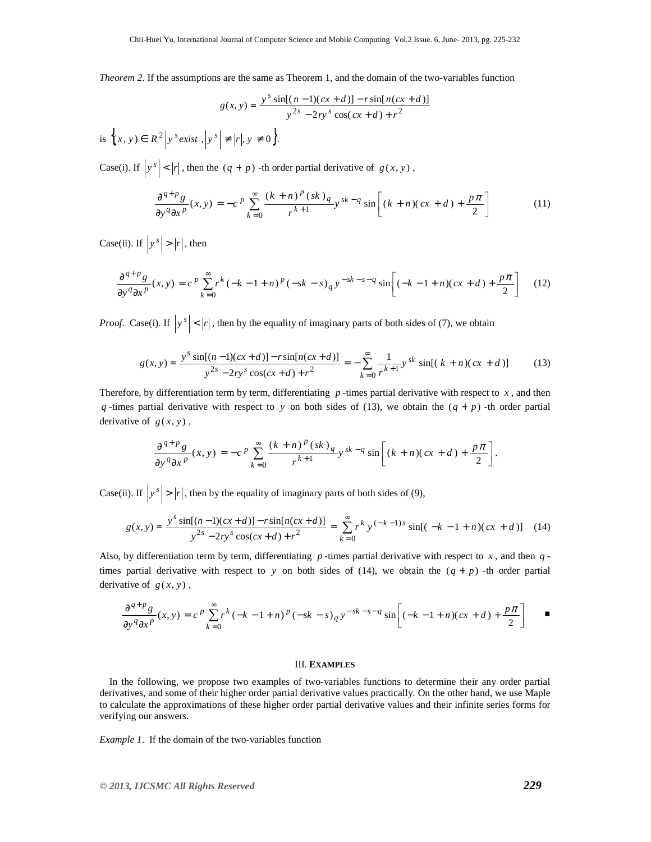*Theorem 2*. If the assumptions are the same as Theorem 1, and the domain of the two-variables function

$$
g(x, y) = \frac{y^{s} \sin[(n-1)(cx+d)] - r \sin[n(cx+d)]}{y^{2s} - 2ry^{s} \cos(cx+d) + r^{2}}
$$

is  $\{ (x, y) \in R^2 \mid y^s \text{ exist }, |y^s| \neq |r|, y \neq 0 \}.$ 

Case(i). If  $|y^s| < |r|$ , then the  $(q + p)$  -th order partial derivative of  $g(x, y)$ ,

$$
\frac{\partial^{q+p}g}{\partial y^q \partial x^p}(x, y) = -c^p \sum_{k=0}^{\infty} \frac{(k+n)^p (sk)_{q}}{r^{k+1}} y^{sk-q} \sin \left[ (k+n)(cx+d) + \frac{p\pi}{2} \right] \tag{11}
$$

Case(ii). If  $|y^s| > |r|$ , then

$$
\frac{\partial^{q+p}g}{\partial y^q \partial x^p}(x, y) = c^p \sum_{k=0}^{\infty} r^k (-k-1+n)^p (-sk-s)_{q} y^{-sk-s-q} \sin \left[ (-k-1+n)(cx+d) + \frac{p\pi}{2} \right] \tag{12}
$$

*Proof.* Case(i). If  $|y^s| < |r|$ , then by the equality of imaginary parts of both sides of (7), we obtain

$$
g(x, y) = \frac{y^s \sin[(n-1)(cx+d)] - r \sin[n(cx+d)]}{y^{2s} - 2ry^s \cos(cx+d) + r^2} = -\sum_{k=0}^{\infty} \frac{1}{r^{k+1}} y^{sk} \sin[(k+n)(cx+d)] \tag{13}
$$

Therefore, by differentiation term by term, differentiating  $p$ -times partial derivative with respect to  $x$ , and then  $q$ -times partial derivative with respect to *y* on both sides of (13), we obtain the  $(q + p)$ -th order partial derivative of  $g(x, y)$ ,

$$
\frac{\partial^{q+p}g}{\partial y^q\partial x^p}(x,y)=-c^p\sum_{k=0}^\infty\frac{(k+n)^p\,(sk\,)_q}{r^{k+1}}y^{sk-q}\sin\biggl[(k+n)(cx+d)+\frac{p\pi}{2}\biggr].
$$

Case(ii). If  $|y^s| > |r|$ , then by the equality of imaginary parts of both sides of (9),

$$
g(x, y) = \frac{y^s \sin[(n-1)(cx+d)] - r \sin[n(cx+d)]}{y^{2s} - 2ry^s \cos(cx+d) + r^2} = \sum_{k=0}^{\infty} r^k y^{(-k-1)s} \sin[(-k-1+n)(cx+d)] \quad (14)
$$

Also, by differentiation term by term, differentiating  $p$ -times partial derivative with respect to  $x$ , and then  $q$ times partial derivative with respect to *y* on both sides of (14), we obtain the  $(q + p)$  -th order partial derivative of  $g(x, y)$ ,

$$
\frac{\partial^{q+p}g}{\partial y^q\partial x^p}(x,y)=c^p\sum_{k=0}^\infty r^k\left(-k-1+n\right)^p\left(-sk-s\right)_q y^{-sk-s-q}\sin\left[(-k-1+n)(cx+d)+\frac{p\pi}{2}\right]\qquad \blacksquare
$$

#### III. **EXAMPLES**

In the following, we propose two examples of two-variables functions to determine their any order partial derivatives, and some of their higher order partial derivative values practically. On the other hand, we use Maple to calculate the approximations of these higher order partial derivative values and their infinite series forms for verifying our answers.

*Example 1*. If the domain of the two-variables function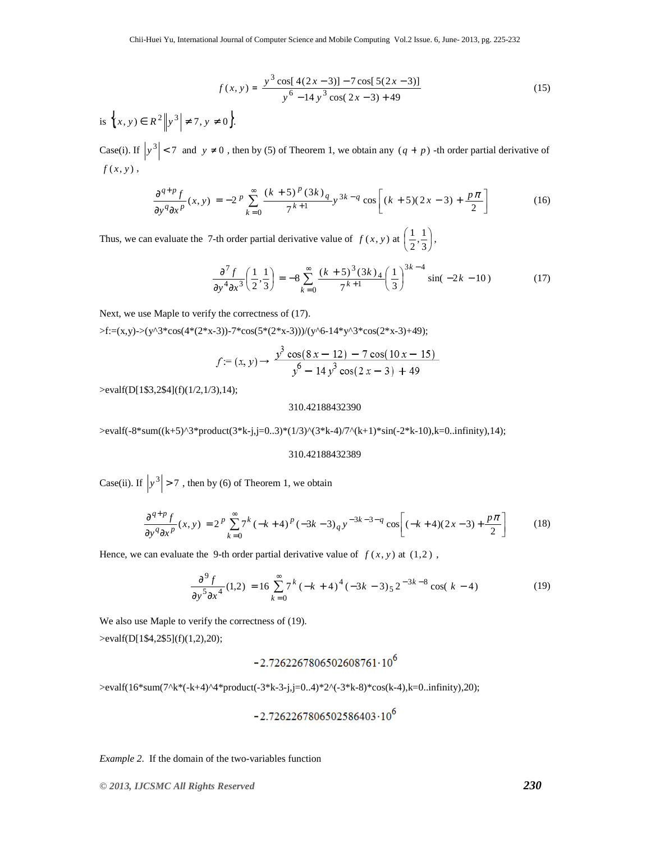$$
f(x, y) = \frac{y^3 \cos[4(2x - 3)] - 7 \cos[5(2x - 3)]}{y^6 - 14y^3 \cos(2x - 3) + 49}
$$
(15)  
is  $\left\{ (x, y) \in R^2 \middle| y^3 \middle| \neq 7, y \neq 0 \right\}.$ 

Case(i). If  $|y^3| < 7$  and  $y \ne 0$ , then by (5) of Theorem 1, we obtain any  $(q + p)$  -th order partial derivative of  $f(x, y)$ ,

$$
\frac{\partial^{q+p} f}{\partial y^q \partial x^p} (x, y) = -2^p \sum_{k=0}^{\infty} \frac{(k+5)^p (3k)_q}{7^{k+1}} y^{3k-q} \cos \left[ (k+5)(2x-3) + \frac{p\pi}{2} \right] \tag{16}
$$

Thus, we can evaluate the 7-th order partial derivative value of  $f(x, y)$  at  $\left(\frac{1}{2}, \frac{1}{3}\right)$  $\left(\frac{1}{2},\frac{1}{3}\right)$ ſ 3  $\frac{1}{2}, \frac{1}{3}$  $\left(\frac{1}{2},\frac{1}{2}\right),$ 

$$
\frac{\partial^7 f}{\partial y^4 \partial x^3} \left( \frac{1}{2}, \frac{1}{3} \right) = -8 \sum_{k=0}^{\infty} \frac{(k+5)^3 (3k)_4}{7^{k+1}} \left( \frac{1}{3} \right)^{3k-4} \sin(-2k-10) \tag{17}
$$

Next, we use Maple to verify the correctness of  $(17)$ .

 $>\f:=(x,y)>(y'3*cos(4*(2*x-3))-7*cos(5*(2*x-3)))/(y'6-14*y'3*cos(2*x-3)+49);$ 

$$
f = (x, y) \rightarrow \frac{y^3 \cos(8 x - 12) - 7 \cos(10 x - 15)}{y^6 - 14y^3 \cos(2 x - 3) + 49}
$$

>evalf(D[1\$3,2\$4](f)(1/2,1/3),14);

310.42188432390

>evalf(-8\*sum((k+5)^3\*product(3\*k-j,j=0..3)\*(1/3)^(3\*k-4)/7^(k+1)\*sin(-2\*k-10),k=0..infinity),14);

#### 310.42188432389

Case(ii). If  $\left|y^3\right| > 7$ , then by (6) of Theorem 1, we obtain

$$
\frac{\partial^{q+p} f}{\partial y^q \partial x^p}(x, y) = 2^p \sum_{k=0}^{\infty} 7^k (-k+4)^p (-3k-3)_q y^{-3k-3-q} \cos \left[ (-k+4)(2x-3) + \frac{p\pi}{2} \right] \tag{18}
$$

Hence, we can evaluate the 9-th order partial derivative value of  $f(x, y)$  at  $(1,2)$ ,

$$
\frac{\partial^9 f}{\partial y^5 \partial x^4} (1,2) = 16 \sum_{k=0}^{\infty} 7^k (-k+4)^4 (-3k-3)_{5} 2^{-3k-8} \cos((k-4)
$$
 (19)

We also use Maple to verify the correctness of (19). >evalf(D[1\$4,2\$5](f)(1,2),20);

 $-2.7262267806502608761 \cdot 10^6$ 

>evalf(16\*sum(7^k\*(-k+4)^4\*product(-3\*k-3-j,j=0..4)\*2^(-3\*k-8)\*cos(k-4),k=0..infinity),20);

$$
\text{-}2.7262267806502586403\cdot 10^6
$$

*Example 2*. If the domain of the two-variables function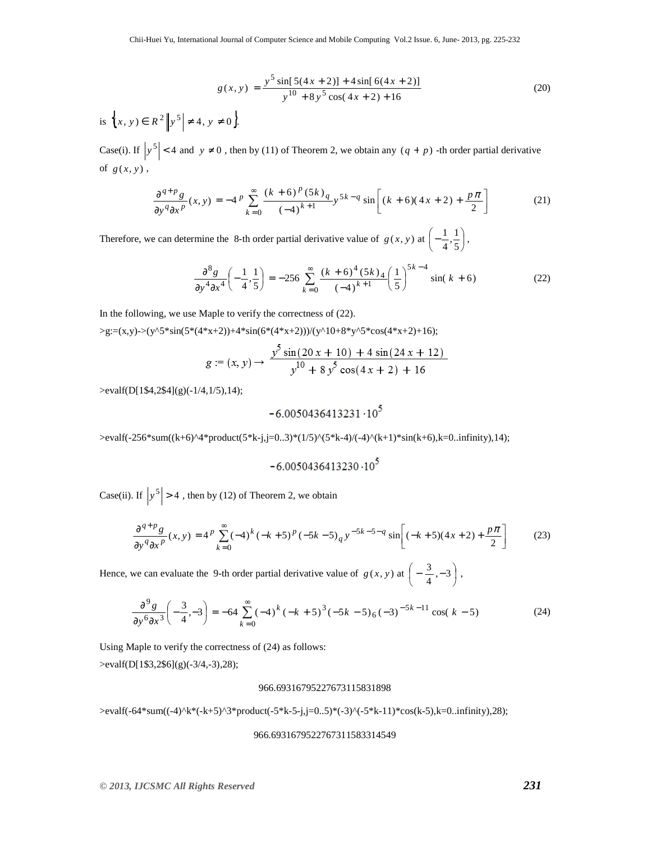$$
g(x, y) = \frac{y^5 \sin[5(4x + 2)] + 4\sin[6(4x + 2)]}{y^{10} + 8y^5 \cos(4x + 2) + 16}
$$
(20)  
is  $\{x, y\} \in R^2 \left\| y^5 \right\} \neq 4, y \neq 0 \}.$ 

Case(i). If  $|y^5| < 4$  and  $y \neq 0$ , then by (11) of Theorem 2, we obtain any  $(q + p)$  -th order partial derivative of  $g(x, y)$ ,

$$
\frac{\partial^{q+p}g}{\partial y^q \partial x^p}(x, y) = -4^p \sum_{k=0}^{\infty} \frac{(k+6)^p (5k)_q}{(-4)^{k+1}} y^{5k-q} \sin\left[ (k+6)(4x+2) + \frac{p\pi}{2} \right] \tag{21}
$$

Therefore, we can determine the 8-th order partial derivative value of  $g(x, y)$  at  $\left(-\frac{1}{4}, \frac{1}{5}\right)$  $\left(-\frac{1}{4},\frac{1}{5}\right)$  $\left(-\frac{1}{4},\frac{1}{5}\right)$  $\frac{1}{4}, \frac{1}{5}$  $\left(\frac{1}{2},\frac{1}{2}\right),$ 

$$
\frac{\partial^8 g}{\partial y^4 \partial x^4} \left( -\frac{1}{4}, \frac{1}{5} \right) = -256 \sum_{k=0}^{\infty} \frac{(k+6)^4 (5k)_4}{(-4)^{k+1}} \left( \frac{1}{5} \right)^{5k-4} \sin(k+6)
$$
 (22)

In the following, we use Maple to verify the correctness of (22).

 $>g:=(x,y)-\frac{y^5s\sin(5*(4*x+2))+4*sin(6*(4*x+2))}{y^110+8*y^5*cos(4*x+2)+16)};$ 

$$
g := (x, y) \rightarrow \frac{y^5 \sin(20 x + 10) + 4 \sin(24 x + 12)}{y^{10} + 8 y^5 \cos(4 x + 2) + 16}
$$

>evalf(D[1\$4,2\$4](g)(-1/4,1/5),14);

## $-6.0050436413231 \cdot 10^5$

>evalf(-256\*sum((k+6)^4\*product(5\*k-j,j=0..3)\*(1/5)^(5\*k-4)/(-4)^(k+1)\*sin(k+6),k=0..infinity),14);

$$
\mathbf{-6.0050436413230\cdot 10^{5}}
$$

Case(ii). If  $\left|y^5\right| > 4$ , then by (12) of Theorem 2, we obtain

$$
\frac{\partial^{q+p}g}{\partial y^q \partial x^p}(x, y) = 4^p \sum_{k=0}^{\infty} (-4)^k (-k+5)^p (-5k-5)_q y^{-5k-5-q} \sin \left[ (-k+5)(4x+2) + \frac{p\pi}{2} \right]
$$
(23)

Hence, we can evaluate the 9-th order partial derivative value of  $g(x, y)$  at  $\left(-\frac{3}{4}, -3\right)$  $\left(-\frac{3}{4}, -3\right)$  $\left(-\frac{3}{4}, -3\right)$  $\left[\frac{3}{2},-3\right]$ ,

$$
\frac{\partial^9 g}{\partial y^6 \partial x^3} \left( -\frac{3}{4}, -3 \right) = -64 \sum_{k=0}^{\infty} (-4)^k (-k+5)^3 (-5k-5) (6-3)^{-5k-11} \cos((k-5)) \tag{24}
$$

Using Maple to verify the correctness of (24) as follows: >evalf(D[1\$3,2\$6](g)(-3/4,-3),28);

#### 966.69316795227673115831898

>evalf(-64\*sum((-4)^k\*(-k+5)^3\*product(-5\*k-5-j,j=0..5)\*(-3)^(-5\*k-11)\*cos(k-5),k=0..infinity),28);

#### 966.6931679522767311583314549